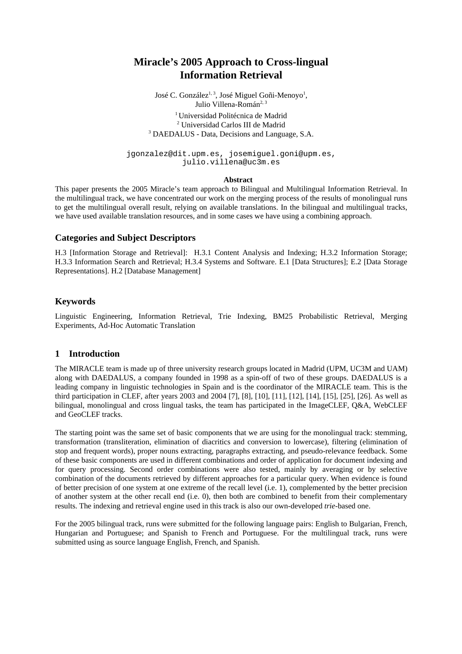# **Miracle's 2005 Approach to Cross-lingual Information Retrieval**

José C. González<sup>1, 3</sup>, José Miguel Goñi-Menoyo<sup>1</sup>, Julio Villena-Román<sup>2, 3</sup> <sup>1</sup> Universidad Politécnica de Madrid <sup>2</sup> Universidad Carlos III de Madrid <sup>2</sup> Universidad Carlos III de Madrid<br><sup>3</sup> DAEDALUS - Data, Decisions and Language, S.A.

jgonzalez@dit.upm.es, josemiguel.goni@upm.es, julio.villena@uc3m.es

#### **Abstract**

This paper presents the 2005 Miracle's team approach to Bilingual and Multilingual Information Retrieval. In the multilingual track, we have concentrated our work on the merging process of the results of monolingual runs to get the multilingual overall result, relying on available translations. In the bilingual and multilingual tracks, we have used available translation resources, and in some cases we have using a combining approach.

#### **Categories and Subject Descriptors**

H.3 [Information Storage and Retrieval]: H.3.1 Content Analysis and Indexing; H.3.2 Information Storage; H.3.3 Information Search and Retrieval; H.3.4 Systems and Software. E.1 [Data Structures]; E.2 [Data Storage Representations]. H.2 [Database Management]

#### **Keywords**

Linguistic Engineering, Information Retrieval, Trie Indexing, BM25 Probabilistic Retrieval, Merging Experiments, Ad-Hoc Automatic Translation

#### **1 Introduction**

The MIRACLE team is made up of three university research groups located in Madrid (UPM, UC3M and UAM) along with DAEDALUS, a company founded in 1998 as a spin-off of two of these groups. DAEDALUS is a leading company in linguistic technologies in Spain and is the coordinator of the MIRACLE team. This is the third participation in CLEF, after years 2003 and 2004 [7], [8], [10], [11], [12], [14], [15], [25], [26]. As well as bilingual, monolingual and cross lingual tasks, the team has participated in the ImageCLEF, Q&A, WebCLEF and GeoCLEF tracks.

The starting point was the same set of basic components that we are using for the monolingual track: stemming, transformation (transliteration, elimination of diacritics and conversion to lowercase), filtering (elimination of stop and frequent words), proper nouns extracting, paragraphs extracting, and pseudo-relevance feedback. Some of these basic components are used in different combinations and order of application for document indexing and for query processing. Second order combinations were also tested, mainly by averaging or by selective combination of the documents retrieved by different approaches for a particular query. When evidence is found of better precision of one system at one extreme of the recall level (i.e. 1), complemented by the better precision of another system at the other recall end (i.e. 0), then both are combined to benefit from their complementary results. The indexing and retrieval engine used in this track is also our own-developed *trie-*based one.

For the 2005 bilingual track, runs were submitted for the following language pairs: English to Bulgarian, French, Hungarian and Portuguese; and Spanish to French and Portuguese. For the multilingual track, runs were submitted using as source language English, French, and Spanish.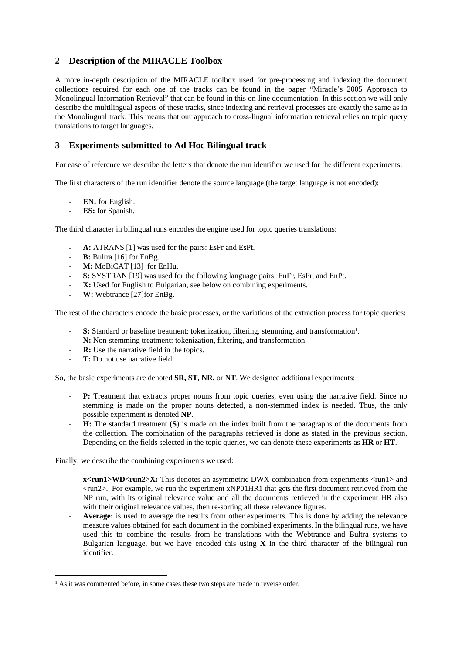## **2 Description of the MIRACLE Toolbox**

A more in-depth description of the MIRACLE toolbox used for pre-processing and indexing the document collections required for each one of the tracks can be found in the paper "Miracle's 2005 Approach to Monolingual Information Retrieval" that can be found in this on-line documentation. In this section we will only describe the multilingual aspects of these tracks, since indexing and retrieval processes are exactly the same as in the Monolingual track. This means that our approach to cross-lingual information retrieval relies on topic query translations to target languages.

## **3 Experiments submitted to Ad Hoc Bilingual track**

For ease of reference we describe the letters that denote the run identifier we used for the different experiments:

The first characters of the run identifier denote the source language (the target language is not encoded):

- **EN:** for English.
- ES: for Spanish.

The third character in bilingual runs encodes the engine used for topic queries translations:

- A: ATRANS [1] was used for the pairs: EsFr and EsPt.
- **B:** Bultra [16] for EnBg.
- **M:** MoBiCAT [13] for EnHu.
- **S:** SYSTRAN [19] was used for the following language pairs: EnFr, EsFr, and EnPt.
- **X:** Used for English to Bulgarian, see below on combining experiments.
- W: Webtrance [27] for EnBg.

The rest of the characters encode the basic processes, or the variations of the extraction process for topic queries:

- **S:** Standard or baseline treatment: tokenization, filtering, stemming, and transformation<sup>1</sup>.
- N: Non-stemming treatment: tokenization, filtering, and transformation.
- **R:** Use the narrative field in the topics.
- **T:** Do not use narrative field.

 $\overline{a}$ 

So, the basic experiments are denoted **SR, ST, NR,** or **NT**. We designed additional experiments:

- **P:** Treatment that extracts proper nouns from topic queries, even using the narrative field. Since no stemming is made on the proper nouns detected, a non-stemmed index is needed. Thus, the only possible experiment is denoted **NP**.
- **H:** The standard treatment (S) is made on the index built from the paragraphs of the documents from the collection. The combination of the paragraphs retrieved is done as stated in the previous section. Depending on the fields selected in the topic queries, we can denote these experiments as **HR** or **HT**.

Finally, we describe the combining experiments we used:

- **x**<**run1>WD<run2>X:** This denotes an asymmetric DWX combination from experiments <run1> and <run2>. For example, we run the experiment xNP01HR1 that gets the first document retrieved from the NP run, with its original relevance value and all the documents retrieved in the experiment HR also with their original relevance values, then re-sorting all these relevance figures.
- Average: is used to average the results from other experiments. This is done by adding the relevance measure values obtained for each document in the combined experiments. In the bilingual runs, we have used this to combine the results from he translations with the Webtrance and Bultra systems to Bulgarian language, but we have encoded this using **X** in the third character of the bilingual run identifier.

<sup>&</sup>lt;sup>1</sup> As it was commented before, in some cases these two steps are made in reverse order.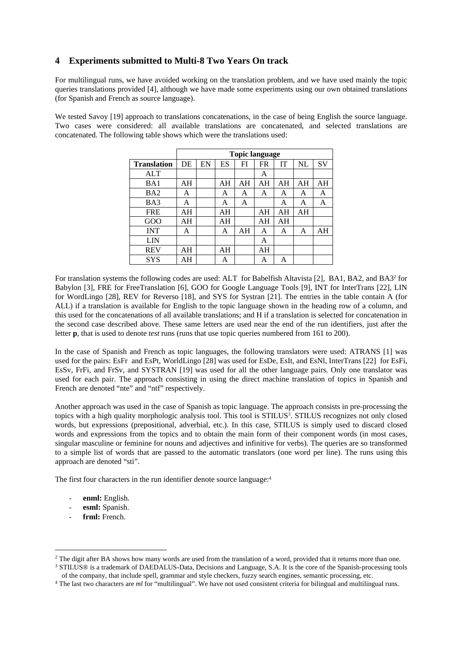# **4 Experiments submitted to Multi-8 Two Years On track**

For multilingual runs, we have avoided working on the translation problem, and we have used mainly the topic queries translations provided [4], although we have made some experiments using our own obtained translations (for Spanish and French as source language).

We tested Savoy [19] approach to translations concatenations, in the case of being English the source language. Two cases were considered: all available translations are concatenated, and selected translations are concatenated. The following table shows which were the translations used:

|                    |    | <b>Topic language</b> |    |    |           |           |    |           |
|--------------------|----|-----------------------|----|----|-----------|-----------|----|-----------|
| <b>Translation</b> | DE | EN                    | ES | FI | <b>FR</b> | <b>IT</b> | NL | <b>SV</b> |
| <b>ALT</b>         |    |                       |    |    | A         |           |    |           |
| BA1                | AH |                       | AH | AH | AH        | AH        | AH | AH        |
| BA <sub>2</sub>    | A  |                       | A  | A  | A         | A         | A  | A         |
| BA3                | A  |                       | A  | A  |           | A         | A  | A         |
| <b>FRE</b>         | AH |                       | AH |    | AH        | AH        | ΑH |           |
| GOO                | AH |                       | AH |    | AH        | AH        |    |           |
| <b>INT</b>         | A  |                       | A  | AH | A         | A         | A  | AH        |
| LIN                |    |                       |    |    | A         |           |    |           |
| <b>REV</b>         | AH |                       | AH |    | AH        |           |    |           |
| <b>SYS</b>         | AH |                       | A  |    | Α         | A         |    |           |

For translation systems the following codes are used: ALT for Babelfish Altavista [2], BA1, BA2, and BA32 for Babylon [3], FRE for FreeTranslation [6], GOO for Google Language Tools [9], INT for InterTrans [22], LIN for WordLingo [28], REV for Reverso [18], and SYS for Systran [21]. The entries in the table contain A (for ALL) if a translation is available for English to the topic language shown in the heading row of a column, and this used for the concatenations of all available translations; and H if a translation is selected for concatenation in the second case described above. These same letters are used near the end of the run identifiers, just after the letter **p**, that is used to denote *test* runs (runs that use topic queries numbered from 161 to 200).

In the case of Spanish and French as topic languages, the following translators were used: ATRANS [1] was used for the pairs: EsFr and EsPt, WorldLingo [28] was used for EsDe, EsIt, and EsNl, InterTrans [22] for EsFi, EsSv, FrFi, and FrSv, and SYSTRAN [19] was used for all the other language pairs. Only one translator was used for each pair. The approach consisting in using the direct machine translation of topics in Spanish and French are denoted "nte" and "ntf" respectively.

Another approach was used in the case of Spanish as topic language. The approach consists in pre-processing the topics with a high quality morphologic analysis tool. This tool is STILUS<sup>3</sup>. STILUS recognizes not only closed words, but expressions (prepositional, adverbial, etc.). In this case, STILUS is simply used to discard closed words and expressions from the topics and to obtain the main form of their component words (in most cases, singular masculine or feminine for nouns and adjectives and infinitive for verbs). The queries are so transformed to a simple list of words that are passed to the automatic translators (one word per line). The runs using this approach are denoted "sti".

The first four characters in the run identifier denote source language:<sup>4</sup>

- enml: English.
- esml: Spanish.
- frml: French.

 $\overline{a}$ 

<sup>&</sup>lt;sup>2</sup> The digit after BA shows how many words are used from the translation of a word, provided that it returns more than one.<br><sup>3</sup> STILUS<sup>®</sup> is a trademark of DAEDALUS-Data, Decisions and Language, S.A. It is the core of th

of the company, that include spell, grammar and style checkers, fuzzy search engines, semantic processing, etc.<br><sup>4</sup> The last two characters are *ml* for "multilingual". We have not used consistent criteria for bilingual an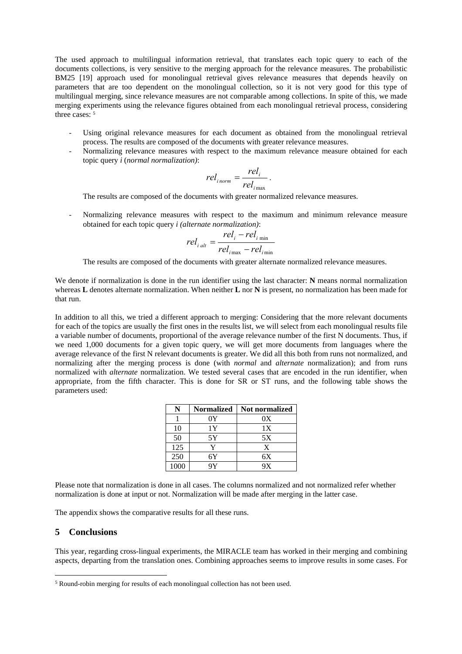The used approach to multilingual information retrieval, that translates each topic query to each of the documents collections, is very sensitive to the merging approach for the relevance measures. The probabilistic BM25 [19] approach used for monolingual retrieval gives relevance measures that depends heavily on parameters that are too dependent on the monolingual collection, so it is not very good for this type of multilingual merging, since relevance measures are not comparable among collections. In spite of this, we made merging experiments using the relevance figures obtained from each monolingual retrieval process, considering three cases:  $5$ 

- Using original relevance measures for each document as obtained from the monolingual retrieval process. The results are composed of the documents with greater relevance measures.
- Normalizing relevance measures with respect to the maximum relevance measure obtained for each topic query *i* (*normal normalization)*:

$$
rel_{inorm} = \frac{rel_i}{rel_{inax}}.
$$

The results are composed of the documents with greater normalized relevance measures.

- Normalizing relevance measures with respect to the maximum and minimum relevance measure obtained for each topic query *i (alternate normalization)*:

$$
rel_{i \, alt} = \frac{rel_i - rel_{i \, min}}{rel_{i \, max} - rel_{i \, min}}
$$

The results are composed of the documents with greater alternate normalized relevance measures.

We denote if normalization is done in the run identifier using the last character: **N** means normal normalization whereas **L** denotes alternate normalization. When neither **L** nor **N** is present, no normalization has been made for that run.

In addition to all this, we tried a different approach to merging: Considering that the more relevant documents for each of the topics are usually the first ones in the results list, we will select from each monolingual results file a variable number of documents, proportional of the average relevance number of the first N documents. Thus, if we need 1,000 documents for a given topic query, we will get more documents from languages where the average relevance of the first N relevant documents is greater. We did all this both from runs not normalized, and normalizing after the merging process is done (with *normal* and *alternate* normalization); and from runs normalized with *alternate* normalization. We tested several cases that are encoded in the run identifier, when appropriate, from the fifth character. This is done for SR or ST runs, and the following table shows the parameters used:

|      | <b>Normalized</b> | <b>Not normalized</b> |
|------|-------------------|-----------------------|
|      | 0Y                | 0X                    |
| 10   | 1Y                | 1X                    |
| 50   | 5Y                | 5X                    |
| 125  | v                 | X                     |
| 250  | 6Y                | 6X                    |
| 1000 | qγ                | 9X                    |

Please note that normalization is done in all cases. The columns normalized and not normalized refer whether normalization is done at input or not. Normalization will be made after merging in the latter case.

The appendix shows the comparative results for all these runs.

#### **5 Conclusions**

 $\overline{a}$ 

This year, regarding cross-lingual experiments, the MIRACLE team has worked in their merging and combining aspects, departing from the translation ones. Combining approaches seems to improve results in some cases. For

<sup>5</sup> Round-robin merging for results of each monolingual collection has not been used.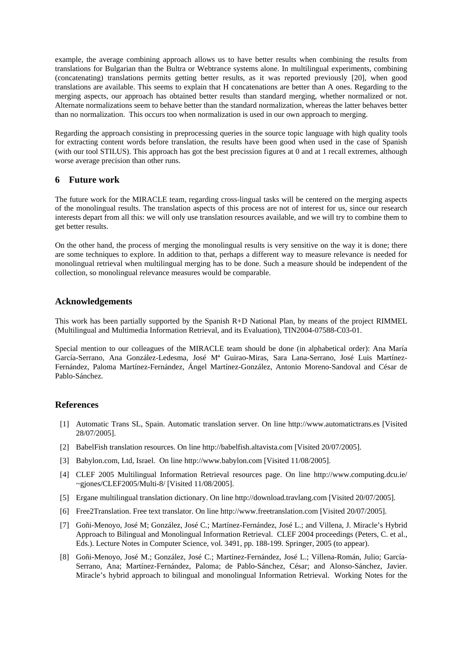example, the average combining approach allows us to have better results when combining the results from translations for Bulgarian than the Bultra or Webtrance systems alone. In multilingual experiments, combining (concatenating) translations permits getting better results, as it was reported previously [20], when good translations are available. This seems to explain that H concatenations are better than A ones. Regarding to the merging aspects, our approach has obtained better results than standard merging, whether normalized or not. Alternate normalizations seem to behave better than the standard normalization, whereas the latter behaves better than no normalization. This occurs too when normalization is used in our own approach to merging.

Regarding the approach consisting in preprocessing queries in the source topic language with high quality tools for extracting content words before translation, the results have been good when used in the case of Spanish (with our tool STILUS). This approach has got the best precission figures at 0 and at 1 recall extremes, although worse average precision than other runs.

## **6 Future work**

The future work for the MIRACLE team, regarding cross-lingual tasks will be centered on the merging aspects of the monolingual results. The translation aspects of this process are not of interest for us, since our research interests depart from all this: we will only use translation resources available, and we will try to combine them to get better results.

On the other hand, the process of merging the monolingual results is very sensitive on the way it is done; there are some techniques to explore. In addition to that, perhaps a different way to measure relevance is needed for monolingual retrieval when multilingual merging has to be done. Such a measure should be independent of the collection, so monolingual relevance measures would be comparable.

## **Acknowledgements**

This work has been partially supported by the Spanish R+D National Plan, by means of the project RIMMEL (Multilingual and Multimedia Information Retrieval, and its Evaluation), TIN2004-07588-C03-01.

Special mention to our colleagues of the MIRACLE team should be done (in alphabetical order): Ana María García-Serrano, Ana González-Ledesma, José Mª Guirao-Miras, Sara Lana-Serrano, José Luis Martínez-Fernández, Paloma Martínez-Fernández, Ángel Martínez-González, Antonio Moreno-Sandoval and César de Pablo-Sánchez.

# **References**

- [1] Automatic Trans SL, Spain. Automatic translation server. On line http://www.automatictrans.es [Visited 28/07/2005].
- [2] BabelFish translation resources. On line http://babelfish.altavista.com [Visited 20/07/2005].
- [3] Babylon.com, Ltd, Israel. On line http://www.babylon.com [Visited 11/08/2005].
- [4] CLEF 2005 Multilingual Information Retrieval resources page. On line http://www.computing.dcu.ie/ ~gjones/CLEF2005/Multi-8/ [Visited 11/08/2005].
- [5] Ergane multilingual translation dictionary. On line http://download.travlang.com [Visited 20/07/2005].
- [6] Free2Translation. Free text translator. On line http://www.freetranslation.com [Visited 20/07/2005].
- [7] Goñi-Menoyo, José M; González, José C.; Martínez-Fernández, José L.; and Villena, J. Miracle's Hybrid Approach to Bilingual and Monolingual Information Retrieval. CLEF 2004 proceedings (Peters, C. et al., Eds.). Lecture Notes in Computer Science, vol. 3491, pp. 188-199. Springer, 2005 (to appear).
- [8] Goñi-Menoyo, José M.; González, José C.; Martínez-Fernández, José L.; Villena-Román, Julio; García-Serrano, Ana; Martínez-Fernández, Paloma; de Pablo-Sánchez, César; and Alonso-Sánchez, Javier. Miracle's hybrid approach to bilingual and monolingual Information Retrieval. Working Notes for the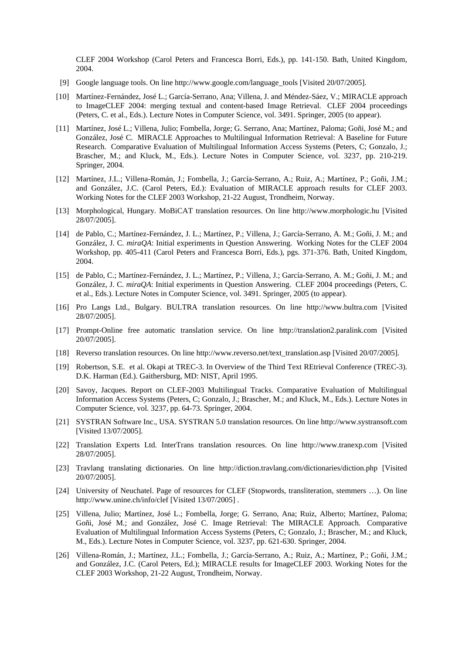CLEF 2004 Workshop (Carol Peters and Francesca Borri, Eds.), pp. 141-150. Bath, United Kingdom, 2004.

- [9] Google language tools. On line http://www.google.com/language\_tools [Visited 20/07/2005].
- [10] Martínez-Fernández, José L.; García-Serrano, Ana; Villena, J. and Méndez-Sáez, V.; MIRACLE approach to ImageCLEF 2004: merging textual and content-based Image Retrieval. CLEF 2004 proceedings (Peters, C. et al., Eds.). Lecture Notes in Computer Science, vol. 3491. Springer, 2005 (to appear).
- [11] Martínez, José L.; Villena, Julio; Fombella, Jorge; G. Serrano, Ana; Martínez, Paloma; Goñi, José M.; and González, José C. MIRACLE Approaches to Multilingual Information Retrieval: A Baseline for Future Research. Comparative Evaluation of Multilingual Information Access Systems (Peters, C; Gonzalo, J.; Brascher, M.; and Kluck, M., Eds.). Lecture Notes in Computer Science, vol. 3237, pp. 210-219. Springer, 2004.
- [12] Martínez, J.L.; Villena-Román, J.; Fombella, J.; García-Serrano, A.; Ruiz, A.; Martínez, P.; Goñi, J.M.; and González, J.C. (Carol Peters, Ed.): Evaluation of MIRACLE approach results for CLEF 2003. Working Notes for the CLEF 2003 Workshop, 21-22 August, Trondheim, Norway.
- [13] Morphological, Hungary. MoBiCAT translation resources. On line http://www.morphologic.hu [Visited 28/07/2005].
- [14] de Pablo, C.; Martínez-Fernández, J. L.; Martínez, P.; Villena, J.; García-Serrano, A. M.; Goñi, J. M.; and González, J. C. *miraQA*: Initial experiments in Question Answering. Working Notes for the CLEF 2004 Workshop, pp. 405-411 (Carol Peters and Francesca Borri, Eds.), pgs. 371-376. Bath, United Kingdom, 2004.
- [15] de Pablo, C.; Martínez-Fernández, J. L.; Martínez, P.; Villena, J.; García-Serrano, A. M.; Goñi, J. M.; and González, J. C. *miraQA*: Initial experiments in Question Answering. CLEF 2004 proceedings (Peters, C. et al., Eds.). Lecture Notes in Computer Science, vol. 3491. Springer, 2005 (to appear).
- [16] Pro Langs Ltd., Bulgary. BULTRA translation resources. On line http://www.bultra.com [Visited 28/07/2005].
- [17] Prompt-Online free automatic translation service. On line http://translation2.paralink.com [Visited 20/07/2005].
- [18] Reverso translation resources. On line http://www.reverso.net/text\_translation.asp [Visited 20/07/2005].
- [19] Robertson, S.E. et al. Okapi at TREC-3. In Overview of the Third Text REtrieval Conference (TREC-3). D.K. Harman (Ed.). Gaithersburg, MD: NIST, April 1995.
- [20] Savoy, Jacques. Report on CLEF-2003 Multilingual Tracks. Comparative Evaluation of Multilingual Information Access Systems (Peters, C; Gonzalo, J.; Brascher, M.; and Kluck, M., Eds.). Lecture Notes in Computer Science, vol. 3237, pp. 64-73. Springer, 2004.
- [21] SYSTRAN Software Inc., USA. SYSTRAN 5.0 translation resources. On line http://www.systransoft.com [Visited 13/07/2005].
- [22] Translation Experts Ltd. InterTrans translation resources. On line http://www.tranexp.com [Visited 28/07/2005].
- [23] Travlang translating dictionaries. On line http://diction.travlang.com/dictionaries/diction.php [Visited 20/07/2005].
- [24] University of Neuchatel. Page of resources for CLEF (Stopwords, transliteration, stemmers …). On line http://www.unine.ch/info/clef [Visited 13/07/2005] .
- [25] Villena, Julio; Martínez, José L.; Fombella, Jorge; G. Serrano, Ana; Ruiz, Alberto; Martínez, Paloma; Goñi, José M.; and González, José C. Image Retrieval: The MIRACLE Approach. Comparative Evaluation of Multilingual Information Access Systems (Peters, C; Gonzalo, J.; Brascher, M.; and Kluck, M., Eds.). Lecture Notes in Computer Science, vol. 3237, pp. 621-630. Springer, 2004.
- [26] Villena-Román, J.; Martínez, J.L.; Fombella, J.; García-Serrano, A.; Ruiz, A.; Martínez, P.; Goñi, J.M.; and González, J.C. (Carol Peters, Ed.); MIRACLE results for ImageCLEF 2003. Working Notes for the CLEF 2003 Workshop, 21-22 August, Trondheim, Norway.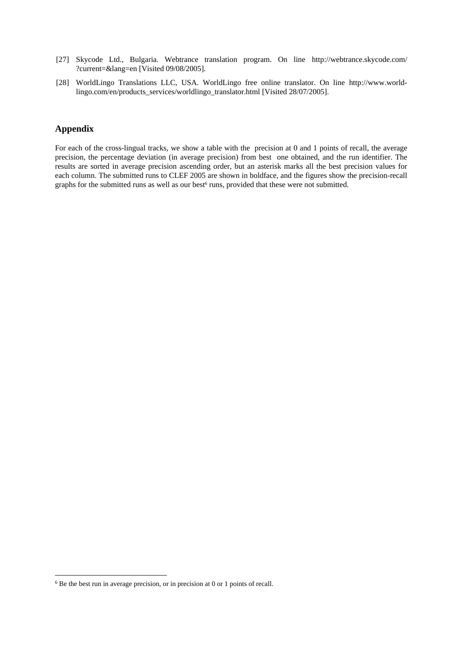- [27] Skycode Ltd., Bulgaria. Webtrance translation program. On line http://webtrance.skycode.com/ ?current=&lang=en [Visited 09/08/2005].
- [28] WorldLingo Translations LLC, USA. WorldLingo free online translator. On line http://www.worldlingo.com/en/products\_services/worldlingo\_translator.html [Visited 28/07/2005].

## **Appendix**

 $\overline{a}$ 

For each of the cross-lingual tracks, we show a table with the precision at 0 and 1 points of recall, the average precision, the percentage deviation (in average precision) from best one obtained, and the run identifier. The results are sorted in average precision ascending order, but an asterisk marks all the best precision values for each column. The submitted runs to CLEF 2005 are shown in boldface, and the figures show the precision-recall graphs for the submitted runs as well as our best<sup>6</sup> runs, provided that these were not submitted.

 $6$  Be the best run in average precision, or in precision at 0 or 1 points of recall.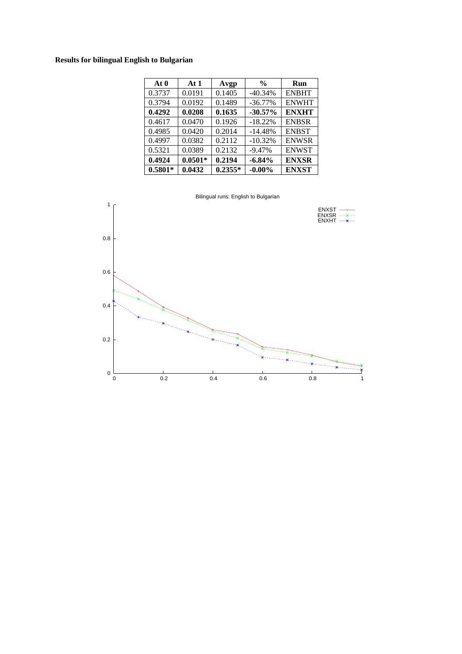# **Results for bilingual English to Bulgarian**

| At 0      | At1       | Avgp      | $\frac{0}{0}$ | Run          |
|-----------|-----------|-----------|---------------|--------------|
| 0.3737    | 0.0191    | 0.1405    | $-40.34%$     | <b>ENBHT</b> |
| 0.3794    | 0.0192    | 0.1489    | $-36.77\%$    | <b>ENWHT</b> |
| 0.4292    | 0.0208    | 0.1635    | $-30.57%$     | <b>ENXHT</b> |
| 0.4617    | 0.0470    | 0.1926    | $-18.22%$     | <b>ENBSR</b> |
| 0.4985    | 0.0420    | 0.2014    | $-14.48%$     | <b>ENBST</b> |
| 0.4997    | 0.0382    | 0.2112    | $-10.32%$     | <b>ENWSR</b> |
| 0.5321    | 0.0389    | 0.2132    | $-9.47%$      | <b>ENWST</b> |
| 0.4924    | $0.0501*$ | 0.2194    | $-6.84%$      | <b>ENXSR</b> |
| $0.5801*$ | 0.0432    | $0.2355*$ | $-0.00\%$     | <b>ENXST</b> |

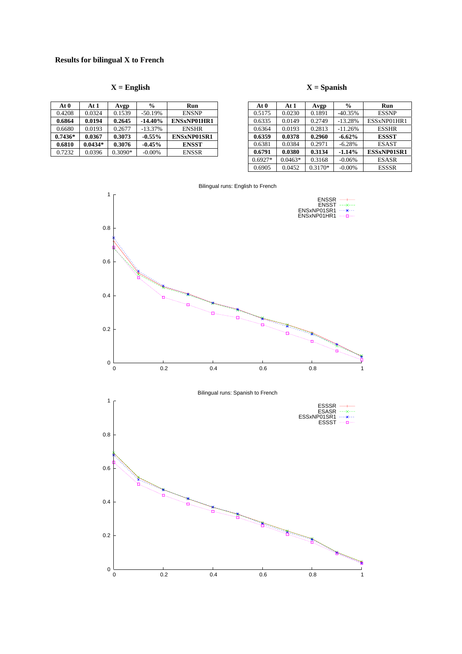| At 0      | At 1      | Avgp      | $\frac{0}{0}$ | Run                |
|-----------|-----------|-----------|---------------|--------------------|
| 0.4208    | 0.0324    | 0.1539    | $-50.19%$     | <b>ENSNP</b>       |
| 0.6864    | 0.0194    | 0.2645    | $-14.40\%$    | ENSxNP01HR1        |
| 0.6680    | 0.0193    | 0.2677    | $-13.37%$     | <b>ENSHR</b>       |
| $0.7436*$ | 0.0367    | 0.3073    | $-0.55%$      | <b>ENSxNP01SR1</b> |
| 0.6810    | $0.0434*$ | 0.3076    | $-0.45%$      | <b>ENSST</b>       |
| 0.7232    | 0.0396    | $0.3090*$ | $-0.00\%$     | <b>ENSSR</b>       |

## $X =$  English  $X =$  Spanish

| At 0      | At 1      | Avgp      | $\frac{0}{0}$ | Run          |
|-----------|-----------|-----------|---------------|--------------|
| 0.5175    | 0.0230    | 0.1891    | $-40.35%$     | <b>ESSNP</b> |
| 0.6335    | 0.0149    | 0.2749    | $-13.28%$     | ESSxNP01HR1  |
| 0.6364    | 0.0193    | 0.2813    | $-11.26%$     | <b>ESSHR</b> |
| 0.6359    | 0.0378    | 0.2960    | $-6.62%$      | <b>ESSST</b> |
| 0.6381    | 0.0384    | 0.2971    | $-6.28%$      | <b>ESAST</b> |
| 0.6791    | 0.0380    | 0.3134    | $-1.14%$      | ESSxNP01SR1  |
| $0.6927*$ | $0.0463*$ | 0.3168    | $-0.06%$      | <b>ESASR</b> |
| 0.6905    | 0.0452    | $0.3170*$ | $-0.00%$      | <b>ESSSR</b> |



Bilingual runs: English to French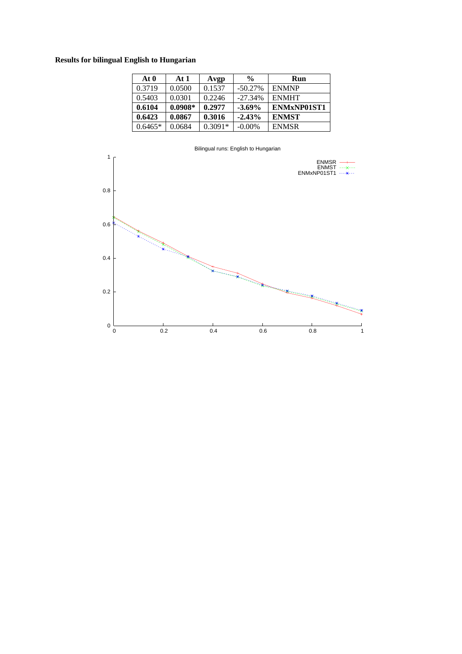# **Results for bilingual English to Hungarian**

| At 0      | At $1$    | Avgp      | $\frac{0}{0}$ | Run          |
|-----------|-----------|-----------|---------------|--------------|
| 0.3719    | 0.0500    | 0.1537    | $-50.27\%$    | <b>ENMNP</b> |
| 0.5403    | 0.0301    | 0.2246    | $-27.34%$     | <b>ENMHT</b> |
| 0.6104    | $0.0908*$ | 0.2977    | $-3.69\%$     | ENMxNP01ST1  |
| 0.6423    | 0.0867    | 0.3016    | $-2.43%$      | <b>ENMST</b> |
| $0.6465*$ | 0.0684    | $0.3091*$ | $-0.00\%$     | <b>ENMSR</b> |

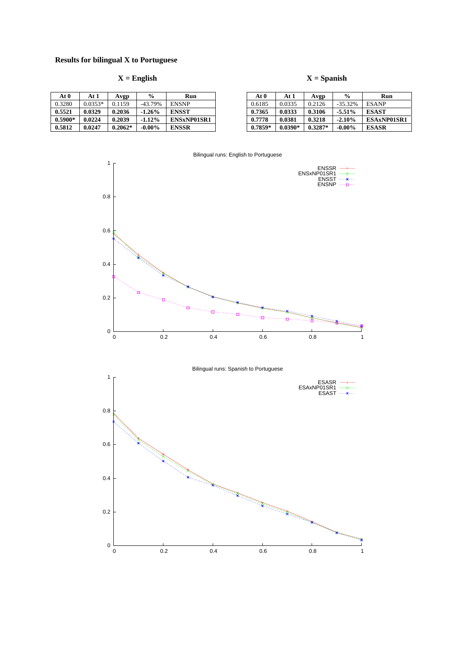# **Results for bilingual X to Portuguese**

0

| At 0      | At 1      | Avgp      | %          | Run                |
|-----------|-----------|-----------|------------|--------------------|
| 0.3280    | $0.0353*$ | 0.1159    | $-43.79\%$ | <b>ENSNP</b>       |
| 0.5521    | 0.0329    | 0.2036    | $-1.26%$   | <b>ENSST</b>       |
| $0.5900*$ | 0.0224    | 0.2039    | $-1.12%$   | <b>ENSxNP01SR1</b> |
| 0.5812    | 0.0247    | $0.2062*$ | $-0.00\%$  | <b>ENSSR</b>       |

# **X = English X = Spanish**

| At 0      | At 1      | Avgp      | $\frac{0}{0}$ | Run          |
|-----------|-----------|-----------|---------------|--------------|
| 0.6185    | 0.0335    | 0.2126    | $-35.32\%$    | <b>ESANP</b> |
| 0.7365    | 0.0333    | 0.3106    | $-5.51\%$     | <b>ESAST</b> |
| 0.7778    | 0.0381    | 0.3218    | $-2.10%$      | ESAxNP01SR1  |
| $0.7859*$ | $0.0390*$ | $0.3287*$ | $-0.00\%$     | <b>ESASR</b> |



0 0.2 0.4 0.6 0.8 1

#### Bilingual runs: English to Portuguese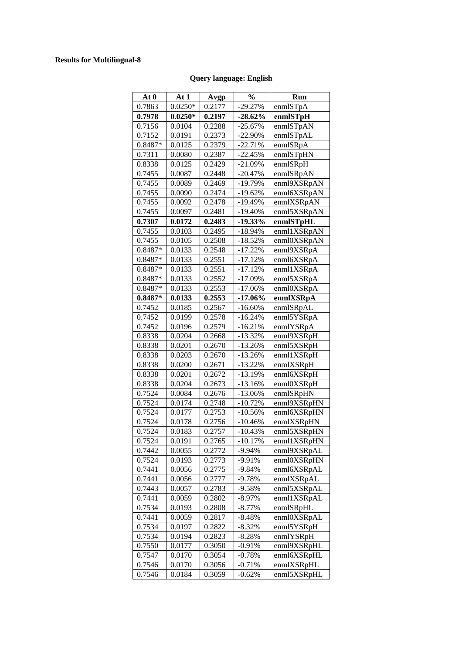# **Results for Multilingual-8**

# **Query language: English**

| At 0      | At 1      | Avgp   | $\frac{0}{0}$ | Run         |
|-----------|-----------|--------|---------------|-------------|
| 0.7863    | $0.0250*$ | 0.2177 | $-29.27%$     | enmlSTpA    |
| 0.7978    | $0.0250*$ | 0.2197 | $-28.62\%$    | enmlSTpH    |
| 0.7156    | 0.0104    | 0.2288 | -25.67%       | enmlSTpAN   |
| 0.7152    | 0.0191    | 0.2373 | -22.90%       | enmlSTpAL   |
| 0.8487*   | 0.0125    | 0.2379 | $-22.71%$     | enmlSRpA    |
| 0.7311    | 0.0080    | 0.2387 | $-22.45%$     | enmlSTpHN   |
| 0.8338    | 0.0125    | 0.2429 | $-21.09%$     | enmlSRpH    |
| 0.7455    | 0.0087    | 0.2448 | $-20.47\%$    | enmlSRpAN   |
| 0.7455    | 0.0089    | 0.2469 | -19.79%       | enml9XSRpAN |
| 0.7455    | 0.0090    | 0.2474 | $-19.62%$     | enml6XSRpAN |
| 0.7455    | 0.0092    | 0.2478 | -19.49%       | enmlXSRpAN  |
| 0.7455    | 0.0097    | 0.2481 | $-19.40%$     | enml5XSRpAN |
| 0.7307    | 0.0172    | 0.2483 | $-19.33\%$    | enmlSTpHL   |
| 0.7455    | 0.0103    | 0.2495 | -18.94%       | enml1XSRpAN |
| 0.7455    | 0.0105    | 0.2508 | $-18.52%$     | enml0XSRpAN |
| 0.8487*   | 0.0133    | 0.2548 | $-17.22%$     | enml9XSRpA  |
| 0.8487*   | 0.0133    | 0.2551 | $-17.12%$     | enml6XSRpA  |
| $0.8487*$ | 0.0133    | 0.2551 | $-17.12%$     | enml1XSRpA  |
| 0.8487*   | 0.0133    | 0.2552 | -17.09%       | enml5XSRpA  |
| $0.8487*$ | 0.0133    | 0.2553 | $-17.06%$     | enml0XSRpA  |
| $0.8487*$ | 0.0133    | 0.2553 | $-17.06%$     | enmlXSRpA   |
| 0.7452    | 0.0185    | 0.2567 | $-16.60\%$    | enmlSRpAL   |
| 0.7452    | 0.0199    | 0.2578 | $-16.24%$     | enml5YSRpA  |
| 0.7452    | 0.0196    | 0.2579 | $-16.21%$     | enmlYSRpA   |
| 0.8338    | 0.0204    | 0.2668 | $-13.32%$     | enml9XSRpH  |
| 0.8338    | 0.0201    | 0.2670 | $-13.26%$     | enml5XSRpH  |
| 0.8338    | 0.0203    | 0.2670 | $-13.26%$     | enml1XSRpH  |
| 0.8338    | 0.0200    | 0.2671 | $-13.22\%$    | enmlXSRpH   |
| 0.8338    | 0.0201    | 0.2672 | -13.19%       | enml6XSRpH  |
| 0.8338    | 0.0204    | 0.2673 | $-13.16%$     | enml0XSRpH  |
| 0.7524    | 0.0084    | 0.2676 | $-13.06%$     | enmlSRpHN   |
| 0.7524    | 0.0174    | 0.2748 | -10.72%       | enml9XSRpHN |
| 0.7524    | 0.0177    | 0.2753 | $-10.56%$     | enml6XSRpHN |
| 0.7524    | 0.0178    | 0.2756 | $-10.46%$     | enmlXSRpHN  |
| 0.7524    | 0.0183    | 0.2757 | $-10.43%$     | enml5XSRpHN |
| 0.7524    | 0.0191    | 0.2765 | $-10.17\%$    | enml1XSRpHN |
| 0.7442    | 0.0055    | 0.2772 | $-9.94%$      | enml9XSRpAL |
| 0.7524    | 0.0193    | 0.2773 | -9.91%        | enml0XSRpHN |
| 0.7441    | 0.0056    | 0.2775 | $-9.84%$      | enml6XSRpAL |
| 0.7441    | 0.0056    | 0.2777 | $-9.78%$      | enmlXSRpAL  |
| 0.7443    | 0.0057    | 0.2783 | $-9.58%$      | enml5XSRpAL |
| 0.7441    | 0.0059    | 0.2802 | -8.97%        | enml1XSRpAL |
| 0.7534    | 0.0193    | 0.2808 | $-8.77\%$     | enmlSRpHL   |
| 0.7441    | 0.0059    | 0.2817 | $-8.48%$      | enml0XSRpAL |
| 0.7534    | 0.0197    | 0.2822 | $-8.32%$      | enml5YSRpH  |
| 0.7534    | 0.0194    | 0.2823 | $-8.28%$      | enmlYSRpH   |
| 0.7550    | 0.0177    | 0.3050 | $-0.91%$      | enml9XSRpHL |
| 0.7547    | 0.0170    | 0.3054 | $-0.78%$      | enml6XSRpHL |
| 0.7546    | 0.0170    | 0.3056 | $-0.71%$      | enmlXSRpHL  |
| 0.7546    | 0.0184    | 0.3059 | $-0.62%$      | enml5XSRpHL |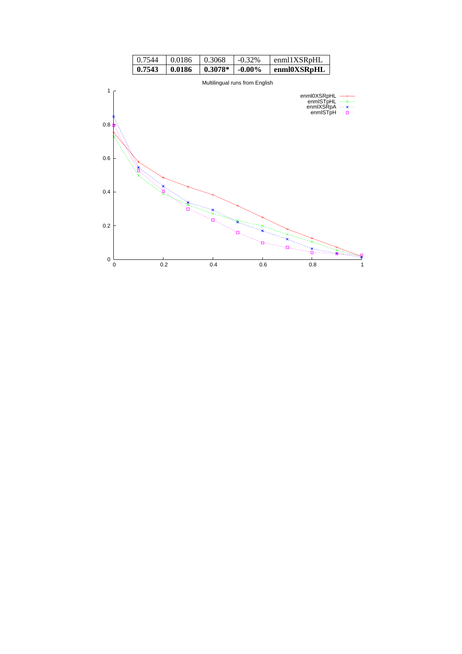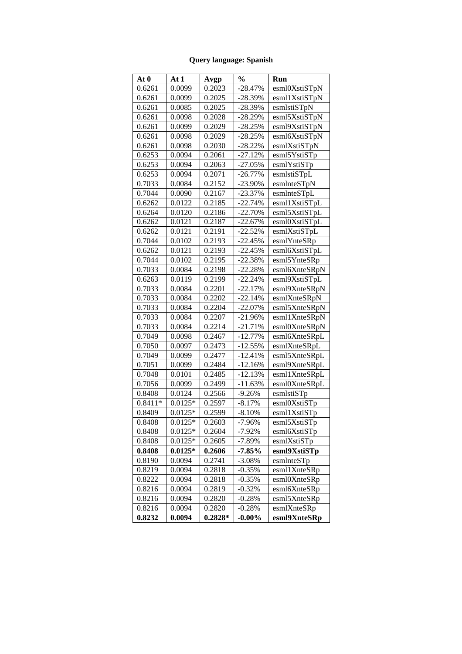# **Query language: Spanish**

| At 0      | At 1      | Avgp      | $\frac{0}{0}$ | Run           |
|-----------|-----------|-----------|---------------|---------------|
| 0.6261    | 0.0099    | 0.2023    | $-28.47%$     | esml0XstiSTpN |
| 0.6261    | 0.0099    | 0.2025    | -28.39%       | esml1XstiSTpN |
| 0.6261    | 0.0085    | 0.2025    | -28.39%       | esmlstiSTpN   |
| 0.6261    | 0.0098    | 0.2028    | -28.29%       | esml5XstiSTpN |
| 0.6261    | 0.0099    | 0.2029    | $-28.25%$     | esml9XstiSTpN |
| 0.6261    | 0.0098    | 0.2029    | $-28.25%$     | esml6XstiSTpN |
| 0.6261    | 0.0098    | 0.2030    | $-28.22%$     | esmlXstiSTpN  |
| 0.6253    | 0.0094    | 0.2061    | $-27.12%$     | esml5YstiSTp  |
| 0.6253    | 0.0094    | 0.2063    | $-27.05%$     | esmlYstiSTp   |
| 0.6253    | 0.0094    | 0.2071    | $-26.77\%$    | esmlstiSTpL   |
| 0.7033    | 0.0084    | 0.2152    | $-23.90\%$    | esmlnteSTpN   |
| 0.7044    | 0.0090    | 0.2167    | $-23.37%$     | esmlnteSTpL   |
| 0.6262    | 0.0122    | 0.2185    | $-22.74%$     | esml1XstiSTpL |
| 0.6264    | 0.0120    | 0.2186    | $-22.70%$     | esml5XstiSTpL |
| 0.6262    | 0.0121    | 0.2187    | $-22.67%$     | esml0XstiSTpL |
| 0.6262    | 0.0121    | 0.2191    | $-22.52%$     | esmlXstiSTpL  |
| 0.7044    | 0.0102    | 0.2193    | $-22.45%$     | esmlYnteSRp   |
| 0.6262    | 0.0121    | 0.2193    | -22.45%       | esml6XstiSTpL |
| 0.7044    | 0.0102    | 0.2195    | $-22.38%$     | esml5YnteSRp  |
| 0.7033    | 0.0084    | 0.2198    | -22.28%       | esml6XnteSRpN |
| 0.6263    | 0.0119    | 0.2199    | -22.24%       | esml9XstiSTpL |
| 0.7033    | 0.0084    | 0.2201    | $-22.17%$     | esml9XnteSRpN |
| 0.7033    | 0.0084    | 0.2202    | $-22.14%$     | esmlXnteSRpN  |
| 0.7033    | 0.0084    | 0.2204    | $-22.07\%$    | esml5XnteSRpN |
| 0.7033    | 0.0084    | 0.2207    | $-21.96%$     | esml1XnteSRpN |
| 0.7033    | 0.0084    | 0.2214    | -21.71%       | esml0XnteSRpN |
| 0.7049    | 0.0098    | 0.2467    | $-12.77%$     | esml6XnteSRpL |
| 0.7050    | 0.0097    | 0.2473    | $-12.55%$     | esmlXnteSRpL  |
| 0.7049    | 0.0099    | 0.2477    | $-12.41%$     | esml5XnteSRpL |
| 0.7051    | 0.0099    | 0.2484    | $-12.16%$     | esml9XnteSRpL |
| 0.7048    | 0.0101    | 0.2485    | $-12.13%$     | esml1XnteSRpL |
| 0.7056    | 0.0099    | 0.2499    | $-11.63%$     | esml0XnteSRpL |
| 0.8408    | 0.0124    | 0.2566    | $-9.26%$      | esmlstiSTp    |
| $0.8411*$ | $0.0125*$ | 0.2597    | $-8.17%$      | esml0XstiSTp  |
| 0.8409    | $0.0125*$ | 0.2599    | $-8.10%$      | esml1XstiSTp  |
| 0.8408    | $0.0125*$ | 0.2603    | $-7.96%$      | esml5XstiSTp  |
| 0.8408    | $0.0125*$ | 0.2604    | $-7.92%$      | esml6XstiSTp  |
| 0.8408    | $0.0125*$ | 0.2605    | -7.89%        | esmlXstiSTp   |
| 0.8408    | $0.0125*$ | 0.2606    | -7.85%        | esml9XstiSTp  |
| 0.8190    | 0.0094    | 0.2741    | $-3.08\%$     | esmlnteSTp    |
| 0.8219    | 0.0094    | 0.2818    | $-0.35%$      | esml1XnteSRp  |
| 0.8222    | 0.0094    | 0.2818    | $-0.35%$      | esml0XnteSRp  |
| 0.8216    | 0.0094    | 0.2819    | $-0.32%$      | esml6XnteSRp  |
| 0.8216    | 0.0094    | 0.2820    | $-0.28%$      | esml5XnteSRp  |
| 0.8216    | 0.0094    | 0.2820    | $-0.28%$      | esmlXnteSRp   |
| 0.8232    | 0.0094    | $0.2828*$ | $-0.00\%$     | esml9XnteSRp  |